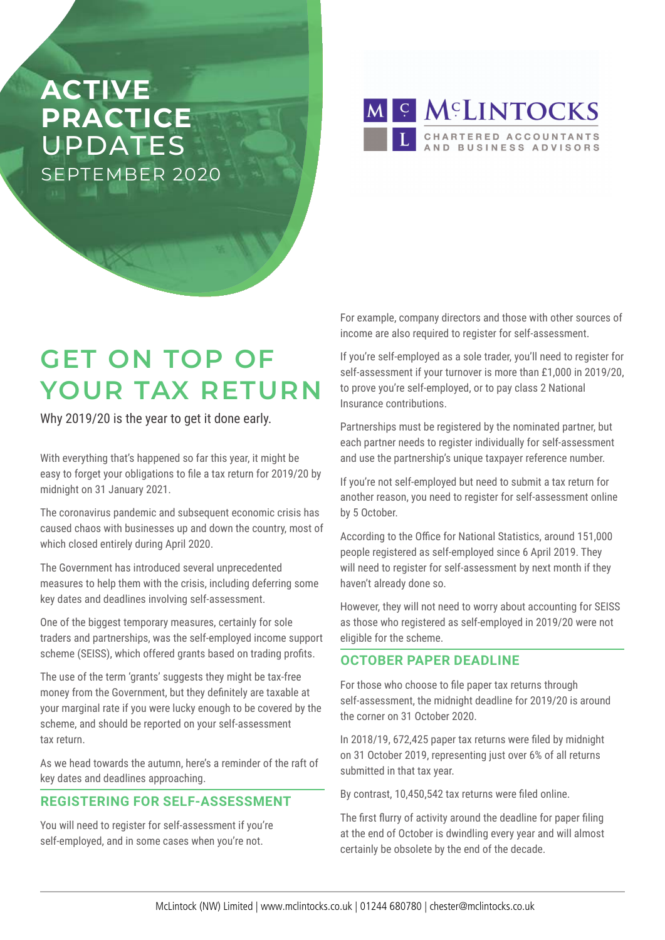# **ACTIVE PRACTICE**  UPDATES SEPTEMBER 2020

M S MCLINTOCKS CHARTERED ACCOUNTANTS<br>AND BUSINESS ADVISORS

# **GET ON TOP OF YOUR TAX RETURN**

Why 2019/20 is the year to get it done early.

With everything that's happened so far this year, it might be easy to forget your obligations to file a tax return for 2019/20 by midnight on 31 January 2021.

The coronavirus pandemic and subsequent economic crisis has caused chaos with businesses up and down the country, most of which closed entirely during April 2020.

The Government has introduced several unprecedented measures to help them with the crisis, including deferring some key dates and deadlines involving self-assessment.

One of the biggest temporary measures, certainly for sole traders and partnerships, was the self-employed income support scheme (SEISS), which offered grants based on trading profits.

The use of the term 'grants' suggests they might be tax-free money from the Government, but they definitely are taxable at your marginal rate if you were lucky enough to be covered by the scheme, and should be reported on your self-assessment tax return.

As we head towards the autumn, here's a reminder of the raft of key dates and deadlines approaching.

## **REGISTERING FOR SELF-ASSESSMENT**

You will need to register for self-assessment if you're self-employed, and in some cases when you're not.

For example, company directors and those with other sources of income are also required to register for self-assessment.

If you're self-employed as a sole trader, you'll need to register for self-assessment if your turnover is more than £1,000 in 2019/20, to prove you're self-employed, or to pay class 2 National Insurance contributions.

Partnerships must be registered by the nominated partner, but each partner needs to register individually for self-assessment and use the partnership's unique taxpayer reference number.

If you're not self-employed but need to submit a tax return for another reason, you need to register for self-assessment online by 5 October.

According to the Office for National Statistics, around 151,000 people registered as self-employed since 6 April 2019. They will need to register for self-assessment by next month if they haven't already done so.

However, they will not need to worry about accounting for SEISS as those who registered as self-employed in 2019/20 were not eligible for the scheme.

## **OCTOBER PAPER DEADLINE**

For those who choose to file paper tax returns through self-assessment, the midnight deadline for 2019/20 is around the corner on 31 October 2020.

In 2018/19, 672,425 paper tax returns were filed by midnight on 31 October 2019, representing just over 6% of all returns submitted in that tax year.

By contrast, 10,450,542 tax returns were filed online.

The first flurry of activity around the deadline for paper filing at the end of October is dwindling every year and will almost certainly be obsolete by the end of the decade.